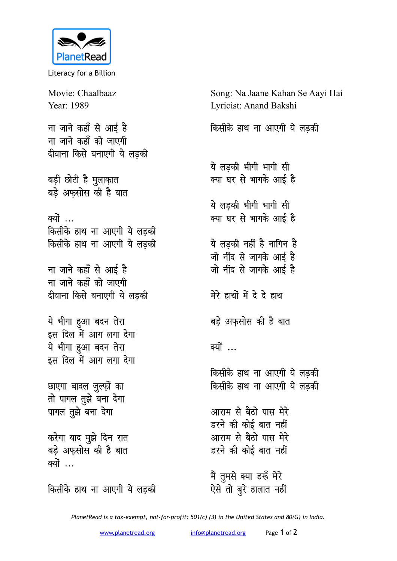

Literacy for a Billion

Movie: Chaalbaaz Song: Na Jaane Kahan Se Aayi Hai Year: 1989 Lyricist: Anand Bakshi ना जाने कहाँ से आई है किसीके हाथ ना आएगी ये लडकी ना जाने कहाँ को जाएगी दीवाना किसे बनाएगी ये लडकी ये लडकी भीगी भागी सी क्या घर से भागके आई है बड़ी छोटी है मुलाक़ात बड़े अफसोस की है बात ये लडकी भीगी भागी सी क्या घर से भागके आई है क्यों ... किसीके हाथ ना आएगी ये लडकी ये लड़की नहीं है नागिन है किसीके हाथ ना आएगी ये लडकी जो नींद से जागके आई है ना जाने कहाँ से आई है जो नींद से जागके आई है ना जाने कहाँ को जाएगी दीवाना किसे बनाएगी ये लडकी मेरे हाथों में दे दे हाथ ये भीगा हुआ बदन तेरा बड़े अफसोस की है बात इस दिल में आग लगा देगा ये भीगा हुआ बदन तेरा क्यों ... इस दिल में आग लगा देगा किसीके हाथ ना आएगी ये लड़की किसीके हाथ ना आएगी ये लडकी छाएगा बादल जुल्फ़ों का तो पागल तुझे बना देगा पागल तुझे बना देगा आराम से बैठो पास मेरे डरने की कोई बात नहीं करेगा याद मुझे दिन रात आराम से बैठो पास मेरे बड़े अफ़सोस की है बात डरने की कोई बात नहीं क्यों मैं तुमसे क्या डरूँ मेरे किसीके हाथ ना आएगी ये लड़की

ऐसे तो बुरे हालात नहीं PlanetRead is a tax-exempt, not-for-profit: 501(c) (3) in the United States and 80(G) in India.